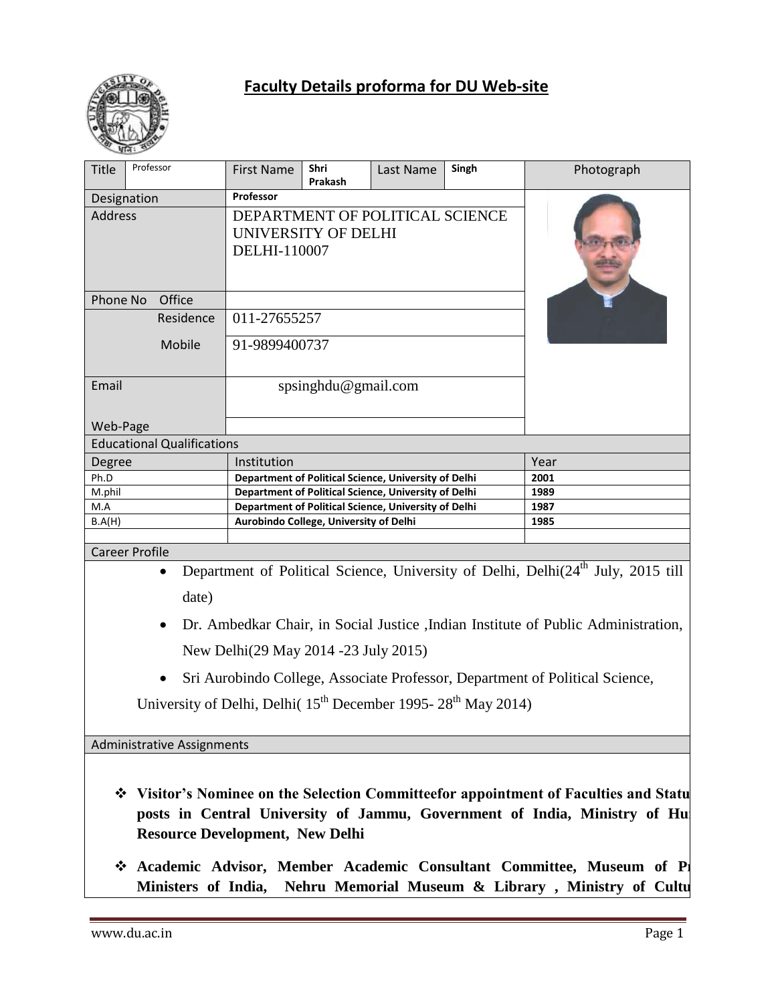

| Designation<br><b>Address</b><br>Phone No |                                   | Professor<br>UNIVERSITY OF DELHI                     | Prakash | DEPARTMENT OF POLITICAL SCIENCE |                                                                                        |                                                                                              |
|-------------------------------------------|-----------------------------------|------------------------------------------------------|---------|---------------------------------|----------------------------------------------------------------------------------------|----------------------------------------------------------------------------------------------|
|                                           |                                   |                                                      |         |                                 |                                                                                        |                                                                                              |
|                                           |                                   |                                                      |         |                                 |                                                                                        |                                                                                              |
|                                           |                                   |                                                      |         |                                 |                                                                                        |                                                                                              |
|                                           |                                   | DELHI-110007                                         |         |                                 |                                                                                        |                                                                                              |
|                                           |                                   |                                                      |         |                                 |                                                                                        |                                                                                              |
|                                           |                                   |                                                      |         |                                 |                                                                                        |                                                                                              |
|                                           | Office                            |                                                      |         |                                 |                                                                                        |                                                                                              |
|                                           | Residence                         | 011-27655257                                         |         |                                 |                                                                                        |                                                                                              |
|                                           |                                   |                                                      |         |                                 |                                                                                        |                                                                                              |
|                                           | Mobile                            | 91-9899400737                                        |         |                                 |                                                                                        |                                                                                              |
|                                           |                                   |                                                      |         |                                 |                                                                                        |                                                                                              |
| Email                                     |                                   | spsinghdu@gmail.com                                  |         |                                 |                                                                                        |                                                                                              |
|                                           |                                   |                                                      |         |                                 |                                                                                        |                                                                                              |
| Web-Page                                  |                                   |                                                      |         |                                 |                                                                                        |                                                                                              |
|                                           | <b>Educational Qualifications</b> |                                                      |         |                                 |                                                                                        |                                                                                              |
| Degree                                    | Institution                       |                                                      |         |                                 |                                                                                        | Year                                                                                         |
| Ph.D                                      |                                   | Department of Political Science, University of Delhi |         |                                 |                                                                                        | 2001                                                                                         |
| M.phil                                    |                                   | Department of Political Science, University of Delhi |         |                                 |                                                                                        | 1989                                                                                         |
| M.A                                       |                                   | Department of Political Science, University of Delhi |         |                                 | 1987                                                                                   |                                                                                              |
| B.A(H)                                    |                                   | Aurobindo College, University of Delhi               |         |                                 |                                                                                        | 1985                                                                                         |
| <b>Career Profile</b>                     |                                   |                                                      |         |                                 |                                                                                        |                                                                                              |
|                                           | $\bullet$                         |                                                      |         |                                 |                                                                                        | Department of Political Science, University of Delhi, Delhi(24 <sup>th</sup> July, 2015 till |
|                                           |                                   |                                                      |         |                                 |                                                                                        |                                                                                              |
|                                           | date)                             |                                                      |         |                                 |                                                                                        |                                                                                              |
|                                           | $\bullet$                         |                                                      |         |                                 |                                                                                        | Dr. Ambedkar Chair, in Social Justice , Indian Institute of Public Administration,           |
|                                           |                                   |                                                      |         |                                 |                                                                                        |                                                                                              |
|                                           |                                   | New Delhi(29 May 2014 -23 July 2015)                 |         |                                 |                                                                                        |                                                                                              |
|                                           |                                   |                                                      |         |                                 |                                                                                        | Sri Aurobindo College, Associate Professor, Department of Political Science,                 |
|                                           |                                   |                                                      |         |                                 |                                                                                        |                                                                                              |
|                                           |                                   |                                                      |         |                                 | University of Delhi, Delhi( 15 <sup>th</sup> December 1995- 28 <sup>th</sup> May 2014) |                                                                                              |
|                                           |                                   |                                                      |         |                                 |                                                                                        |                                                                                              |
|                                           | <b>Administrative Assignments</b> |                                                      |         |                                 |                                                                                        |                                                                                              |
|                                           |                                   |                                                      |         |                                 |                                                                                        |                                                                                              |

**Academic Advisor, Member Academic Consultant Committee, Museum of P** Ministers of India, Nehru Memorial Museum & Library, Ministry of Cultu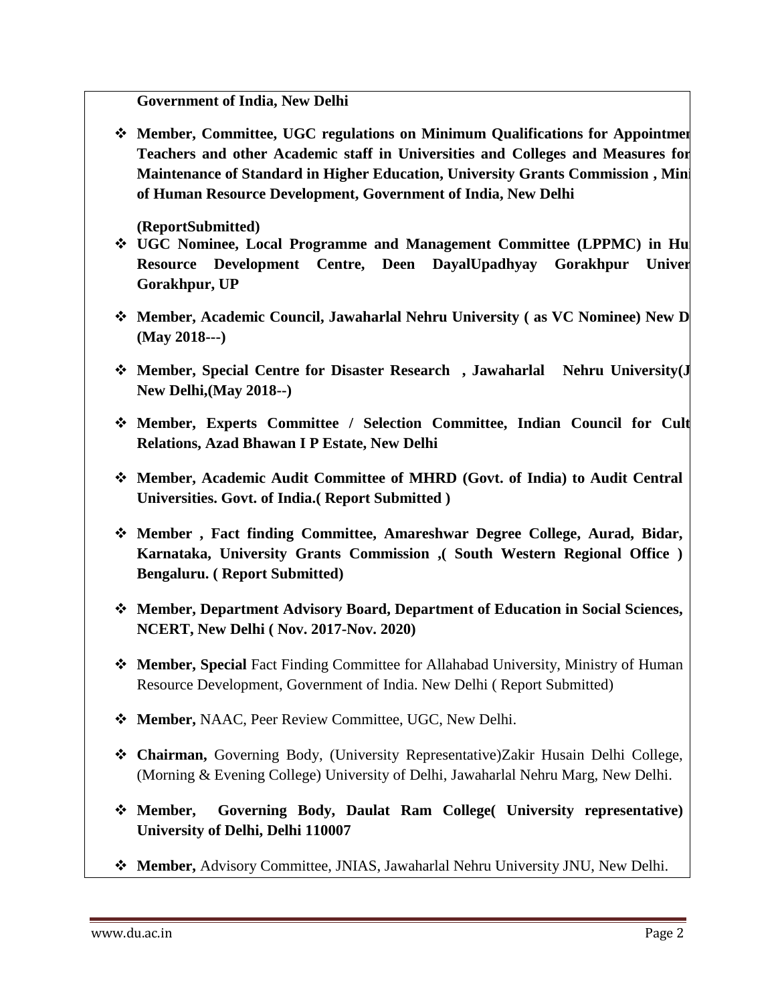**Government of India, New Delhi**

**Member, Committee, UGC regulations on Minimum Qualifications for Appointment** Teachers and other Academic staff in Universities and Colleges and Measures for **Maintenance of Standard in Higher Education, University Grants Commission, Mini of Human Resource Development, Government of India, New Delhi**

**(ReportSubmitted)**

- $\div$  UGC Nominee, Local Programme and Management Committee (LPPMC) in Hu **Resource Development Centre, Deen DayalUpadhyay Gorakhpur Univer Gorakhpur, UP**
- **Member, Academic Council, Jawaharlal Nehru University (as VC Nominee) New D (May 2018---)**
- **Member, Special Centre for Disaster Research , Jawaharlal Nehru University(J New Delhi,(May 2018--)**
- **\*** Member, Experts Committee / Selection Committee, Indian Council for Cult **Relations, Azad Bhawan I P Estate, New Delhi**
- **Member, Academic Audit Committee of MHRD (Govt. of India) to Audit Central Universities. Govt. of India.( Report Submitted )**
- **Member , Fact finding Committee, Amareshwar Degree College, Aurad, Bidar, Karnataka, University Grants Commission ,( South Western Regional Office ) Bengaluru. ( Report Submitted)**
- **Member, Department Advisory Board, Department of Education in Social Sciences, NCERT, New Delhi ( Nov. 2017-Nov. 2020)**
- **Member, Special** Fact Finding Committee for Allahabad University, Ministry of Human Resource Development, Government of India. New Delhi ( Report Submitted)
- **Member,** NAAC, Peer Review Committee, UGC, New Delhi.
- **Chairman,** Governing Body, (University Representative)Zakir Husain Delhi College, (Morning & Evening College) University of Delhi, Jawaharlal Nehru Marg, New Delhi.
- **Member, Governing Body, Daulat Ram College( University representative) University of Delhi, Delhi 110007**
- **Member,** Advisory Committee, JNIAS, Jawaharlal Nehru University JNU, New Delhi.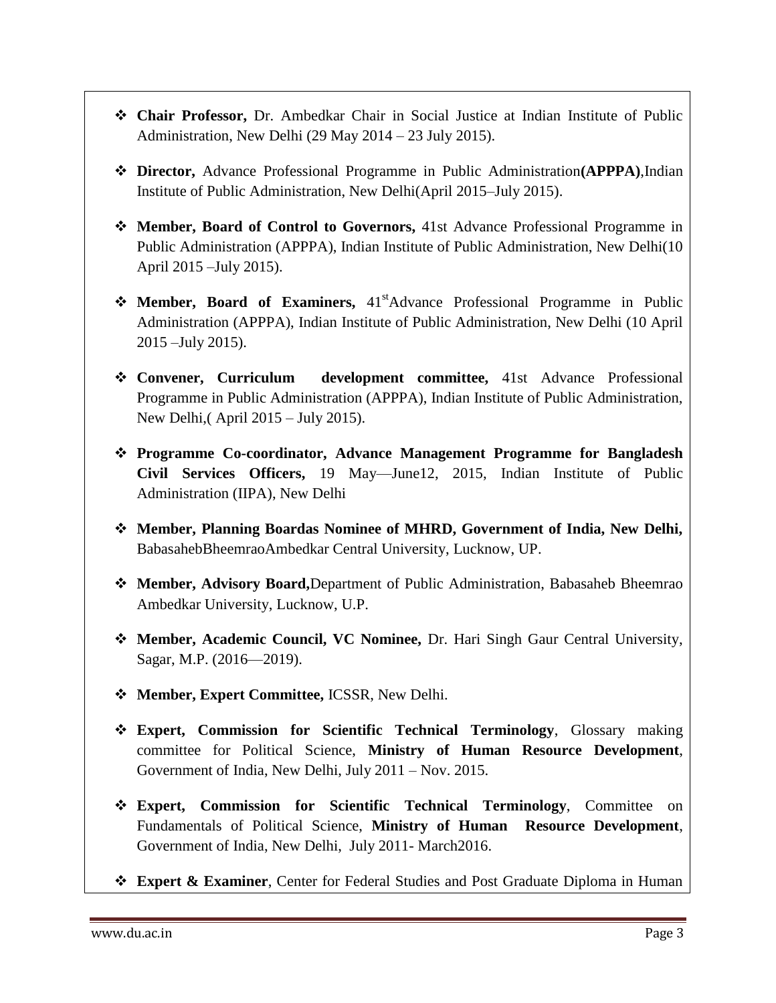- **Chair Professor,** Dr. Ambedkar Chair in Social Justice at Indian Institute of Public Administration, New Delhi (29 May 2014 – 23 July 2015).
- **Director,** Advance Professional Programme in Public Administration**(APPPA)**,Indian Institute of Public Administration, New Delhi(April 2015–July 2015).
- **Member, Board of Control to Governors,** 41st Advance Professional Programme in Public Administration (APPPA), Indian Institute of Public Administration, New Delhi(10 April 2015 –July 2015).
- **Member, Board of Examiners,** 41<sup>st</sup>Advance Professional Programme in Public Administration (APPPA), Indian Institute of Public Administration, New Delhi (10 April 2015 –July 2015).
- **Convener, Curriculum development committee,** 41st Advance Professional Programme in Public Administration (APPPA), Indian Institute of Public Administration, New Delhi,( April 2015 – July 2015).
- **Programme Co-coordinator, Advance Management Programme for Bangladesh Civil Services Officers,** 19 May—June12, 2015, Indian Institute of Public Administration (IIPA), New Delhi
- **Member, Planning Boardas Nominee of MHRD, Government of India, New Delhi,**  BabasahebBheemraoAmbedkar Central University, Lucknow, UP.
- **Member, Advisory Board,**Department of Public Administration, Babasaheb Bheemrao Ambedkar University, Lucknow, U.P.
- **Member, Academic Council, VC Nominee,** Dr. Hari Singh Gaur Central University, Sagar, M.P. (2016—2019).
- **Member, Expert Committee,** ICSSR, New Delhi.
- **Expert, Commission for Scientific Technical Terminology**, Glossary making committee for Political Science, **Ministry of Human Resource Development**, Government of India, New Delhi, July 2011 – Nov. 2015.
- **Expert, Commission for Scientific Technical Terminology**, Committee on Fundamentals of Political Science, **Ministry of Human Resource Development**, Government of India, New Delhi, July 2011- March2016.
- **Expert & Examiner**, Center for Federal Studies and Post Graduate Diploma in Human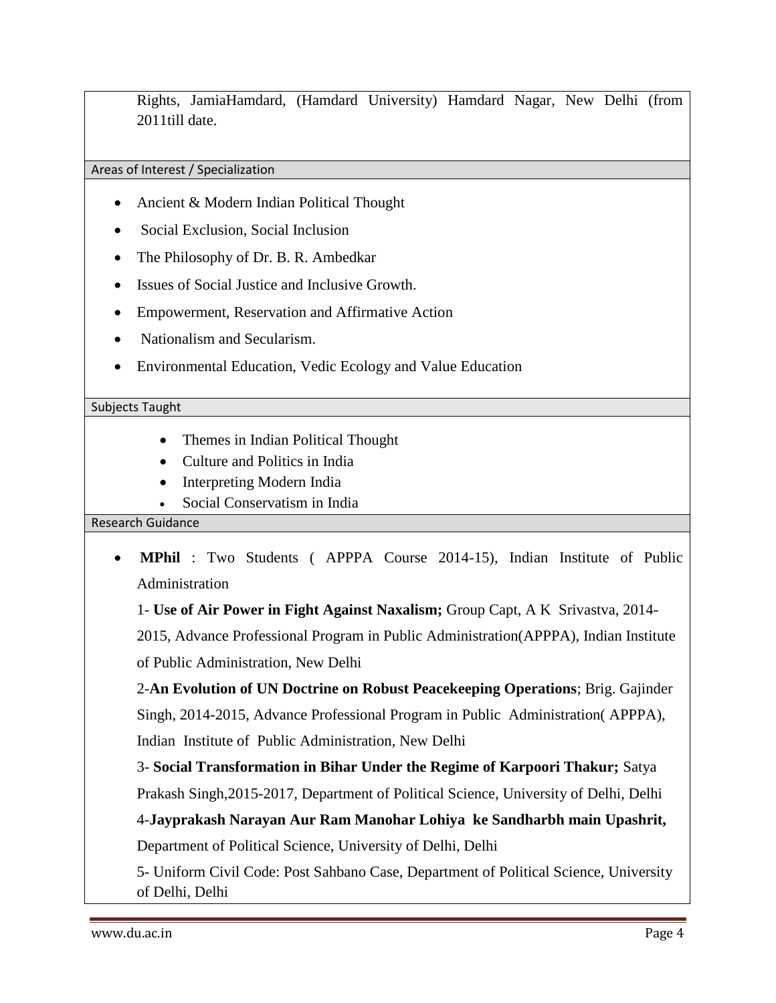Rights, JamiaHamdard, (Hamdard University) Hamdard Nagar, New Delhi (from 2011till date.

Areas of Interest / Specialization

- Ancient & Modern Indian Political Thought
- Social Exclusion, Social Inclusion
- The Philosophy of Dr. B. R. Ambedkar
- Issues of Social Justice and Inclusive Growth.
- Empowerment, Reservation and Affirmative Action
- Nationalism and Secularism.
- Environmental Education, Vedic Ecology and Value Education

#### Subjects Taught

- Themes in Indian Political Thought
- Culture and Politics in India
- Interpreting Modern India
- Social Conservatism in India

#### Research Guidance

 **MPhil** : Two Students ( APPPA Course 2014-15), Indian Institute of Public Administration

1- **Use of Air Power in Fight Against Naxalism;** Group Capt, A K Srivastva, 2014-

2015, Advance Professional Program in Public Administration(APPPA), Indian Institute of Public Administration, New Delhi

2-**An Evolution of UN Doctrine on Robust Peacekeeping Operations**; Brig. Gajinder Singh, 2014-2015, Advance Professional Program in Public Administration( APPPA), Indian Institute of Public Administration, New Delhi

3- **Social Transformation in Bihar Under the Regime of Karpoori Thakur;** Satya

Prakash Singh,2015-2017, Department of Political Science, University of Delhi, Delhi

4-**Jayprakash Narayan Aur Ram Manohar Lohiya ke Sandharbh main Upashrit,** 

Department of Political Science, University of Delhi, Delhi

5- Uniform Civil Code: Post Sahbano Case, Department of Political Science, University of Delhi, Delhi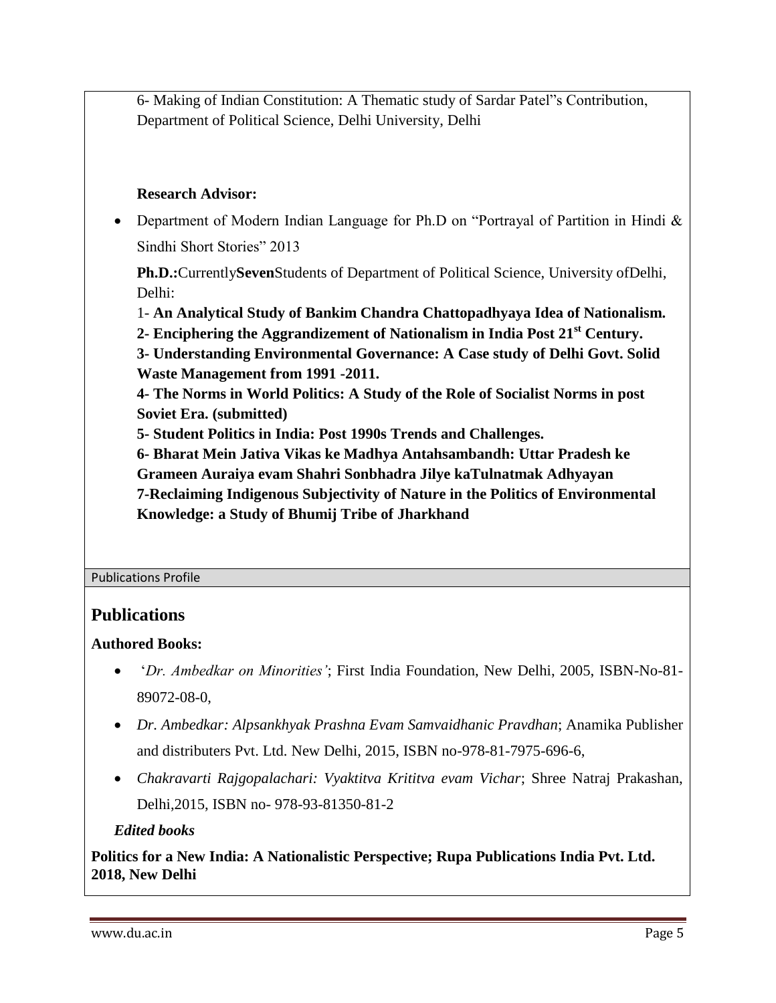6- Making of Indian Constitution: A Thematic study of Sardar Patel"s Contribution, Department of Political Science, Delhi University, Delhi

### **Research Advisor:**

• Department of Modern Indian Language for Ph.D on "Portrayal of Partition in Hindi  $\&$ Sindhi Short Stories" 2013

**Ph.D.:**Currently**Seven**Students of Department of Political Science, University ofDelhi, Delhi:

1- **An Analytical Study of Bankim Chandra Chattopadhyaya Idea of Nationalism.**

**2- Enciphering the Aggrandizement of Nationalism in India Post 21st Century.**

**3- Understanding Environmental Governance: A Case study of Delhi Govt. Solid Waste Management from 1991 -2011.**

**4- The Norms in World Politics: A Study of the Role of Socialist Norms in post Soviet Era. (submitted)**

**5- Student Politics in India: Post 1990s Trends and Challenges.**

**6- Bharat Mein Jativa Vikas ke Madhya Antahsambandh: Uttar Pradesh ke** 

**Grameen Auraiya evam Shahri Sonbhadra Jilye kaTulnatmak Adhyayan**

**7-Reclaiming Indigenous Subjectivity of Nature in the Politics of Environmental Knowledge: a Study of Bhumij Tribe of Jharkhand**

#### Publications Profile

### **Publications**

#### **Authored Books:**

- ‗*Dr. Ambedkar on Minorities'*; First India Foundation, New Delhi, 2005, ISBN-No-81- 89072-08-0,
- *Dr. Ambedkar: Alpsankhyak Prashna Evam Samvaidhanic Pravdhan*; Anamika Publisher and distributers Pvt. Ltd. New Delhi, 2015, ISBN no-978-81-7975-696-6,
- *Chakravarti Rajgopalachari: Vyaktitva Krititva evam Vichar*; Shree Natraj Prakashan, Delhi,2015, ISBN no- 978-93-81350-81-2

#### *Edited books*

**Politics for a New India: A Nationalistic Perspective; Rupa Publications India Pvt. Ltd. 2018, New Delhi**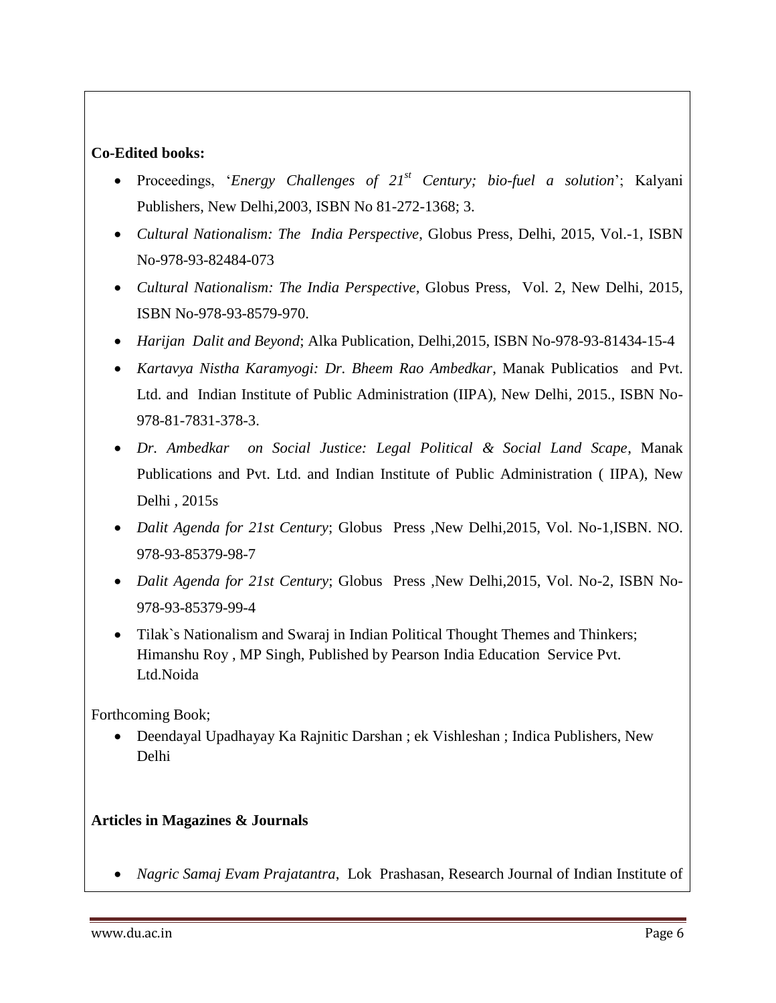### **Co-Edited books:**

- Proceedings, ‗*Energy Challenges of 21st Century; bio-fuel a solution*'; Kalyani Publishers, New Delhi,2003, ISBN No 81-272-1368; 3.
- *Cultural Nationalism: The India Perspective*, Globus Press, Delhi, 2015, Vol.-1, ISBN No-978-93-82484-073
- *Cultural Nationalism: The India Perspective*, Globus Press, Vol. 2, New Delhi, 2015, ISBN No-978-93-8579-970.
- *Harijan Dalit and Beyond*; Alka Publication, Delhi,2015, ISBN No-978-93-81434-15-4
- *Kartavya Nistha Karamyogi: Dr. Bheem Rao Ambedkar*, Manak Publicatios and Pvt. Ltd. and Indian Institute of Public Administration (IIPA), New Delhi, 2015., ISBN No-978-81-7831-378-3.
- *Dr. Ambedkar on Social Justice: Legal Political & Social Land Scape*, Manak Publications and Pvt. Ltd. and Indian Institute of Public Administration ( IIPA), New Delhi , 2015s
- *Dalit Agenda for 21st Century*; Globus Press ,New Delhi,2015, Vol. No-1,ISBN. NO. 978-93-85379-98-7
- *Dalit Agenda for 21st Century*; Globus Press ,New Delhi,2015, Vol. No-2, ISBN No-978-93-85379-99-4
- Tilak`s Nationalism and Swaraj in Indian Political Thought Themes and Thinkers; Himanshu Roy , MP Singh, Published by Pearson India Education Service Pvt. Ltd.Noida

Forthcoming Book;

 Deendayal Upadhayay Ka Rajnitic Darshan ; ek Vishleshan ; Indica Publishers, New Delhi

#### **Articles in Magazines & Journals**

*Nagric Samaj Evam Prajatantra*, Lok Prashasan, Research Journal of Indian Institute of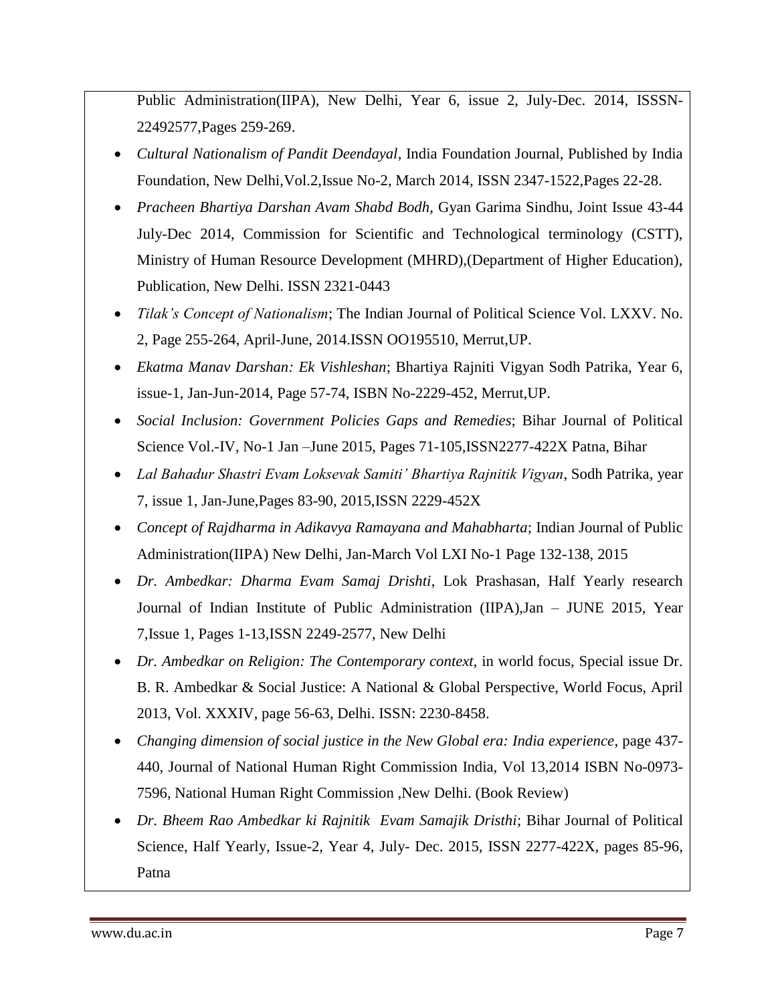Public Administration(IIPA), New Delhi, Year 6, issue 2, July-Dec. 2014, ISSSN-22492577,Pages 259-269.

- *Cultural Nationalism of Pandit Deendayal*, India Foundation Journal, Published by India Foundation, New Delhi,Vol.2,Issue No-2, March 2014, ISSN 2347-1522,Pages 22-28.
- *Pracheen Bhartiya Darshan Avam Shabd Bodh*, Gyan Garima Sindhu, Joint Issue 43-44 July-Dec 2014, Commission for Scientific and Technological terminology (CSTT), Ministry of Human Resource Development (MHRD),(Department of Higher Education), Publication, New Delhi. ISSN 2321-0443
- *Tilak's Concept of Nationalism*; The Indian Journal of Political Science Vol. LXXV. No. 2, Page 255-264, April-June, 2014.ISSN OO195510, Merrut,UP.
- *Ekatma Manav Darshan: Ek Vishleshan*; Bhartiya Rajniti Vigyan Sodh Patrika, Year 6, issue-1, Jan-Jun-2014, Page 57-74, ISBN No-2229-452, Merrut,UP.
- *Social Inclusion: Government Policies Gaps and Remedies*; Bihar Journal of Political Science Vol.-IV, No-1 Jan –June 2015, Pages 71-105,ISSN2277-422X Patna, Bihar
- *Lal Bahadur Shastri Evam Loksevak Samiti' Bhartiya Rajnitik Vigyan*, Sodh Patrika, year 7, issue 1, Jan-June,Pages 83-90, 2015,ISSN 2229-452X
- *Concept of Rajdharma in Adikavya Ramayana and Mahabharta*; Indian Journal of Public Administration(IIPA) New Delhi, Jan-March Vol LXI No-1 Page 132-138, 2015
- *Dr. Ambedkar: Dharma Evam Samaj Drishti*, Lok Prashasan, Half Yearly research Journal of Indian Institute of Public Administration (IIPA),Jan – JUNE 2015, Year 7,Issue 1, Pages 1-13,ISSN 2249-2577, New Delhi
- *Dr. Ambedkar on Religion: The Contemporary context, in world focus, Special issue Dr.* B. R. Ambedkar & Social Justice: A National & Global Perspective, World Focus, April 2013, Vol. XXXIV, page 56-63, Delhi. ISSN: 2230-8458.
- *Changing dimension of social justice in the New Global era: India experience*, page 437- 440, Journal of National Human Right Commission India, Vol 13,2014 ISBN No-0973- 7596, National Human Right Commission ,New Delhi. (Book Review)
- *Dr. Bheem Rao Ambedkar ki Rajnitik Evam Samajik Dristhi*; Bihar Journal of Political Science, Half Yearly, Issue-2, Year 4, July- Dec. 2015, ISSN 2277-422X, pages 85-96, Patna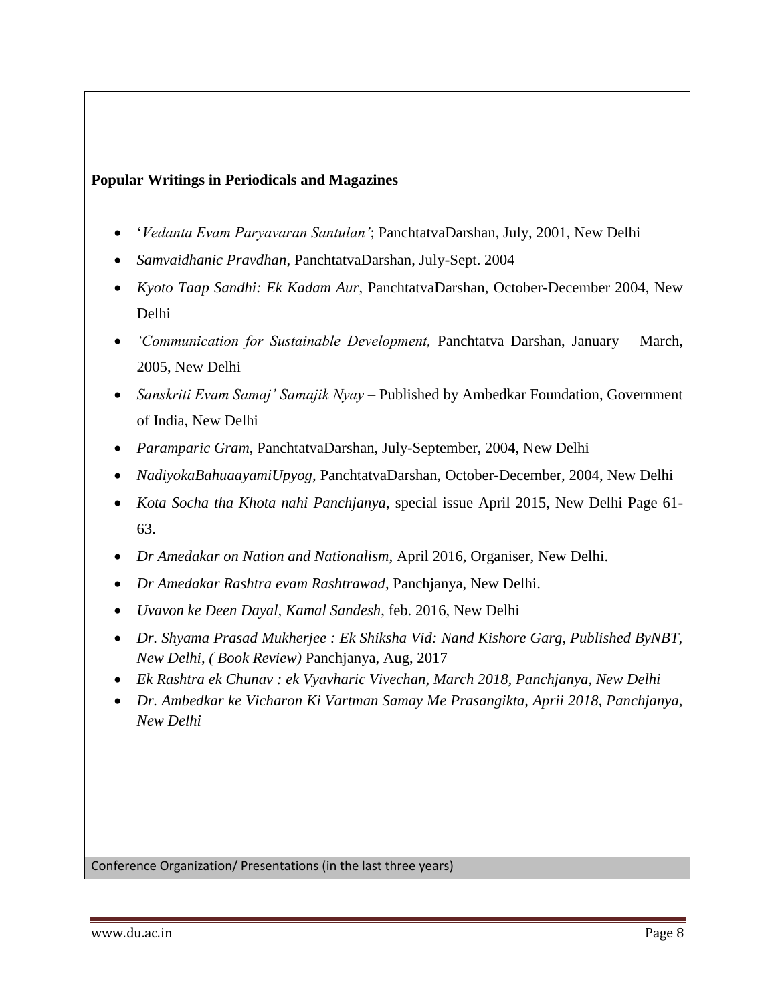#### **Popular Writings in Periodicals and Magazines**

- ‗*Vedanta Evam Paryavaran Santulan'*; PanchtatvaDarshan, July, 2001, New Delhi
- *Samvaidhanic Pravdhan*, PanchtatvaDarshan, July-Sept. 2004
- *Kyoto Taap Sandhi: Ek Kadam Aur*, PanchtatvaDarshan, October-December 2004, New Delhi
- *'Communication for Sustainable Development,* Panchtatva Darshan, January March, 2005, New Delhi
- *Sanskriti Evam Samaj' Samajik Nyay* Published by Ambedkar Foundation, Government of India, New Delhi
- *Paramparic Gram*, PanchtatvaDarshan, July-September, 2004, New Delhi
- *NadiyokaBahuaayamiUpyog*, PanchtatvaDarshan, October-December, 2004, New Delhi
- *Kota Socha tha Khota nahi Panchjanya*, special issue April 2015, New Delhi Page 61- 63.
- *Dr Amedakar on Nation and Nationalism*, April 2016, Organiser, New Delhi.
- *Dr Amedakar Rashtra evam Rashtrawad*, Panchjanya, New Delhi.
- *Uvavon ke Deen Dayal, Kamal Sandesh*, feb. 2016, New Delhi
- *Dr. Shyama Prasad Mukherjee : Ek Shiksha Vid: Nand Kishore Garg, Published ByNBT, New Delhi, ( Book Review)* Panchjanya, Aug, 2017
- *Ek Rashtra ek Chunav : ek Vyavharic Vivechan, March 2018, Panchjanya, New Delhi*
- *Dr. Ambedkar ke Vicharon Ki Vartman Samay Me Prasangikta, Aprii 2018, Panchjanya, New Delhi*

Conference Organization/ Presentations (in the last three years)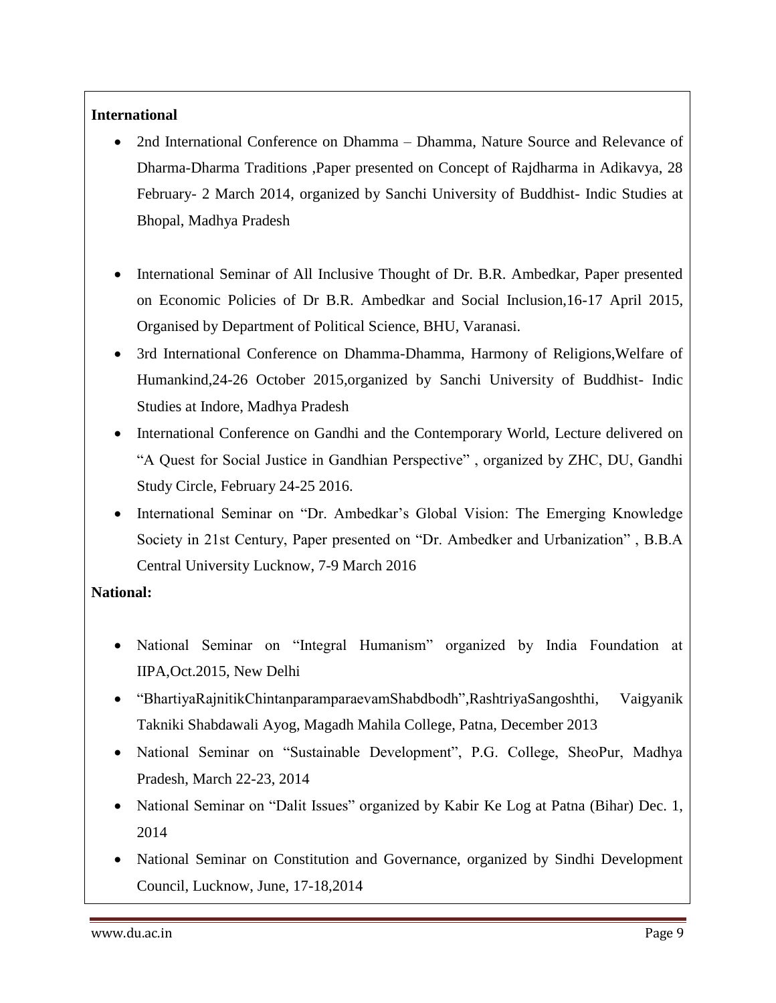#### **International**

- 2nd International Conference on Dhamma Dhamma, Nature Source and Relevance of Dharma-Dharma Traditions ,Paper presented on Concept of Rajdharma in Adikavya, 28 February- 2 March 2014, organized by Sanchi University of Buddhist- Indic Studies at Bhopal, Madhya Pradesh
- International Seminar of All Inclusive Thought of Dr. B.R. Ambedkar, Paper presented on Economic Policies of Dr B.R. Ambedkar and Social Inclusion,16-17 April 2015, Organised by Department of Political Science, BHU, Varanasi.
- 3rd International Conference on Dhamma-Dhamma, Harmony of Religions,Welfare of Humankind,24-26 October 2015,organized by Sanchi University of Buddhist- Indic Studies at Indore, Madhya Pradesh
- International Conference on Gandhi and the Contemporary World, Lecture delivered on "A Quest for Social Justice in Gandhian Perspective", organized by ZHC, DU, Gandhi Study Circle, February 24-25 2016.
- International Seminar on "Dr. Ambedkar's Global Vision: The Emerging Knowledge Society in 21st Century, Paper presented on "Dr. Ambedker and Urbanization", B.B.A Central University Lucknow, 7-9 March 2016

### **National:**

- National Seminar on "Integral Humanism" organized by India Foundation at IIPA,Oct.2015, New Delhi
- ―BhartiyaRajnitikChintanparamparaevamShabdbodh‖,RashtriyaSangoshthi, Vaigyanik Takniki Shabdawali Ayog, Magadh Mahila College, Patna, December 2013
- National Seminar on "Sustainable Development", P.G. College, SheoPur, Madhya Pradesh, March 22-23, 2014
- National Seminar on "Dalit Issues" organized by Kabir Ke Log at Patna (Bihar) Dec. 1, 2014
- National Seminar on Constitution and Governance, organized by Sindhi Development Council, Lucknow, June, 17-18,2014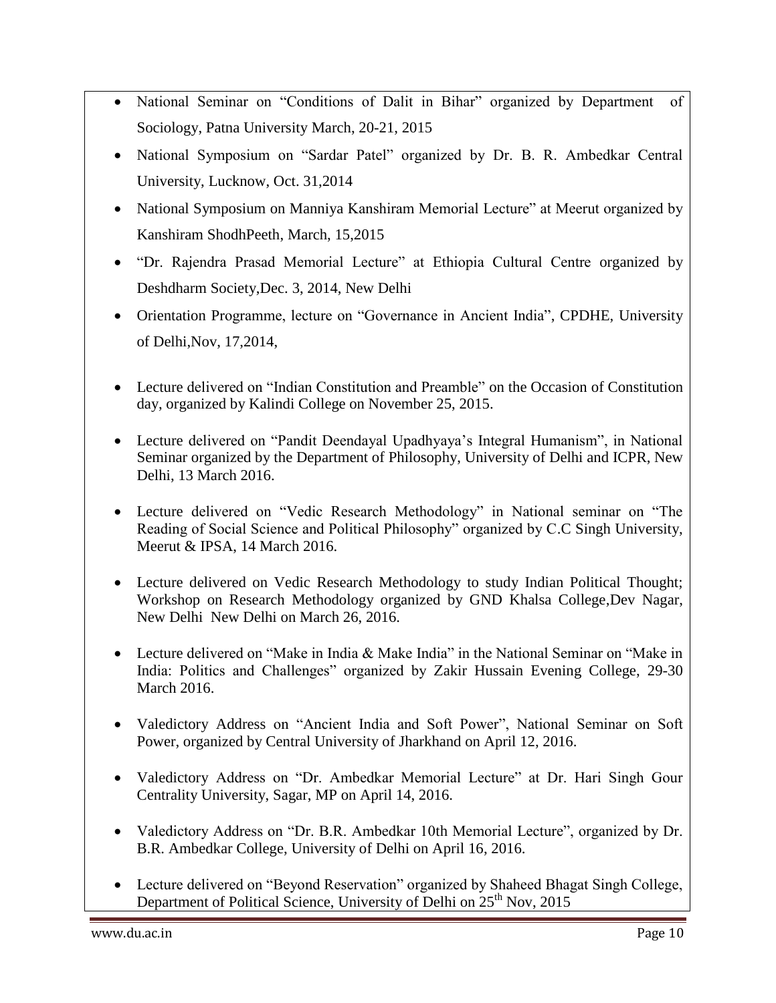- National Seminar on "Conditions of Dalit in Bihar" organized by Department of Sociology, Patna University March, 20-21, 2015
- National Symposium on "Sardar Patel" organized by Dr. B. R. Ambedkar Central University, Lucknow, Oct. 31,2014
- National Symposium on Manniya Kanshiram Memorial Lecture" at Meerut organized by Kanshiram ShodhPeeth, March, 15,2015
- "Dr. Rajendra Prasad Memorial Lecture" at Ethiopia Cultural Centre organized by Deshdharm Society,Dec. 3, 2014, New Delhi
- Orientation Programme, lecture on "Governance in Ancient India", CPDHE, University of Delhi,Nov, 17,2014,
- Lecture delivered on "Indian Constitution and Preamble" on the Occasion of Constitution day, organized by Kalindi College on November 25, 2015.
- Lecture delivered on "Pandit Deendayal Upadhyaya's Integral Humanism", in National Seminar organized by the Department of Philosophy, University of Delhi and ICPR, New Delhi, 13 March 2016.
- Lecture delivered on "Vedic Research Methodology" in National seminar on "The Reading of Social Science and Political Philosophy" organized by C.C Singh University, Meerut & IPSA, 14 March 2016.
- Lecture delivered on Vedic Research Methodology to study Indian Political Thought; Workshop on Research Methodology organized by GND Khalsa College,Dev Nagar, New Delhi New Delhi on March 26, 2016.
- Lecture delivered on "Make in India & Make India" in the National Seminar on "Make in India: Politics and Challenges" organized by Zakir Hussain Evening College, 29-30 March 2016.
- Valedictory Address on "Ancient India and Soft Power", National Seminar on Soft Power, organized by Central University of Jharkhand on April 12, 2016.
- Valedictory Address on "Dr. Ambedkar Memorial Lecture" at Dr. Hari Singh Gour Centrality University, Sagar, MP on April 14, 2016.
- Valedictory Address on "Dr. B.R. Ambedkar 10th Memorial Lecture", organized by Dr. B.R. Ambedkar College, University of Delhi on April 16, 2016.
- Lecture delivered on "Beyond Reservation" organized by Shaheed Bhagat Singh College, Department of Political Science, University of Delhi on 25<sup>th</sup> Nov, 2015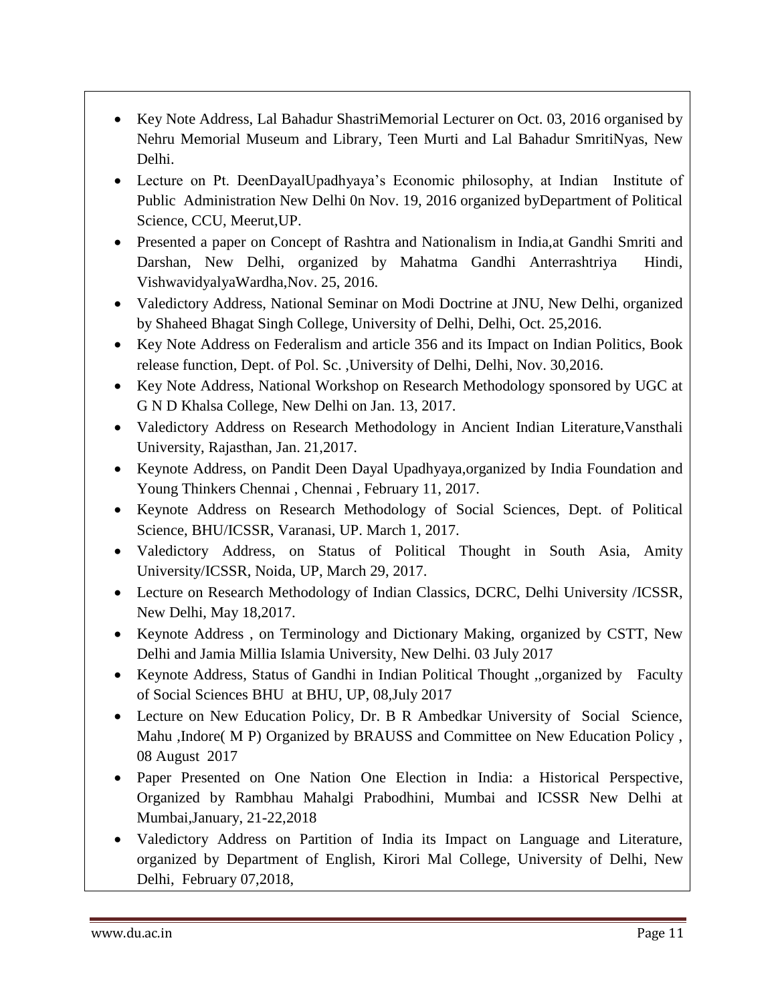- Key Note Address, Lal Bahadur ShastriMemorial Lecturer on Oct. 03, 2016 organised by Nehru Memorial Museum and Library, Teen Murti and Lal Bahadur SmritiNyas, New Delhi.
- Lecture on Pt. DeenDayalUpadhyaya's Economic philosophy, at Indian Institute of Public Administration New Delhi 0n Nov. 19, 2016 organized byDepartment of Political Science, CCU, Meerut,UP.
- Presented a paper on Concept of Rashtra and Nationalism in India,at Gandhi Smriti and Darshan, New Delhi, organized by Mahatma Gandhi Anterrashtriya Hindi, VishwavidyalyaWardha,Nov. 25, 2016.
- Valedictory Address, National Seminar on Modi Doctrine at JNU, New Delhi, organized by Shaheed Bhagat Singh College, University of Delhi, Delhi, Oct. 25,2016.
- Key Note Address on Federalism and article 356 and its Impact on Indian Politics, Book release function, Dept. of Pol. Sc. ,University of Delhi, Delhi, Nov. 30,2016.
- Key Note Address, National Workshop on Research Methodology sponsored by UGC at G N D Khalsa College, New Delhi on Jan. 13, 2017.
- Valedictory Address on Research Methodology in Ancient Indian Literature,Vansthali University, Rajasthan, Jan. 21,2017.
- Keynote Address, on Pandit Deen Dayal Upadhyaya,organized by India Foundation and Young Thinkers Chennai , Chennai , February 11, 2017.
- Keynote Address on Research Methodology of Social Sciences, Dept. of Political Science, BHU/ICSSR, Varanasi, UP. March 1, 2017.
- Valedictory Address, on Status of Political Thought in South Asia, Amity University/ICSSR, Noida, UP, March 29, 2017.
- Lecture on Research Methodology of Indian Classics, DCRC, Delhi University /ICSSR, New Delhi, May 18,2017.
- Keynote Address , on Terminology and Dictionary Making, organized by CSTT, New Delhi and Jamia Millia Islamia University, New Delhi. 03 July 2017
- Keynote Address, Status of Gandhi in Indian Political Thought ,,organized by Faculty of Social Sciences BHU at BHU, UP, 08,July 2017
- Lecture on New Education Policy, Dr. B R Ambedkar University of Social Science, Mahu ,Indore( M P) Organized by BRAUSS and Committee on New Education Policy , 08 August 2017
- Paper Presented on One Nation One Election in India: a Historical Perspective, Organized by Rambhau Mahalgi Prabodhini, Mumbai and ICSSR New Delhi at Mumbai,January, 21-22,2018
- Valedictory Address on Partition of India its Impact on Language and Literature, organized by Department of English, Kirori Mal College, University of Delhi, New Delhi, February 07,2018,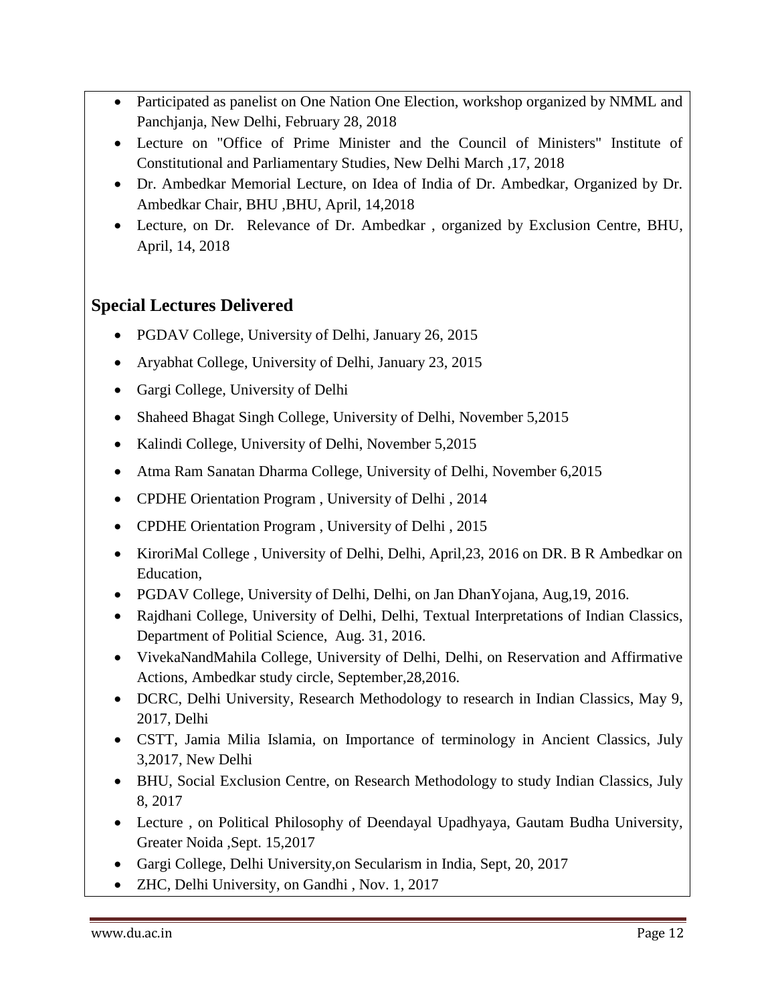- Participated as panelist on One Nation One Election, workshop organized by NMML and Panchjanja, New Delhi, February 28, 2018
- Lecture on "Office of Prime Minister and the Council of Ministers" Institute of Constitutional and Parliamentary Studies, New Delhi March ,17, 2018
- Dr. Ambedkar Memorial Lecture, on Idea of India of Dr. Ambedkar, Organized by Dr. Ambedkar Chair, BHU ,BHU, April, 14,2018
- Lecture, on Dr. Relevance of Dr. Ambedkar , organized by Exclusion Centre, BHU, April, 14, 2018

# **Special Lectures Delivered**

- PGDAV College, University of Delhi, January 26, 2015
- Aryabhat College, University of Delhi, January 23, 2015
- Gargi College, University of Delhi
- Shaheed Bhagat Singh College, University of Delhi, November 5,2015
- Kalindi College, University of Delhi, November 5,2015
- Atma Ram Sanatan Dharma College, University of Delhi, November 6,2015
- CPDHE Orientation Program , University of Delhi , 2014
- CPDHE Orientation Program , University of Delhi , 2015
- KiroriMal College, University of Delhi, Delhi, April, 23, 2016 on DR. B R Ambedkar on Education,
- PGDAV College, University of Delhi, Delhi, on Jan DhanYojana, Aug, 19, 2016.
- Rajdhani College, University of Delhi, Delhi, Textual Interpretations of Indian Classics, Department of Politial Science, Aug. 31, 2016.
- VivekaNandMahila College, University of Delhi, Delhi, on Reservation and Affirmative Actions, Ambedkar study circle, September,28,2016.
- DCRC, Delhi University, Research Methodology to research in Indian Classics, May 9, 2017, Delhi
- CSTT, Jamia Milia Islamia, on Importance of terminology in Ancient Classics, July 3,2017, New Delhi
- BHU, Social Exclusion Centre, on Research Methodology to study Indian Classics, July 8, 2017
- Lecture , on Political Philosophy of Deendayal Upadhyaya, Gautam Budha University, Greater Noida ,Sept. 15,2017
- Gargi College, Delhi University,on Secularism in India, Sept, 20, 2017
- ZHC, Delhi University, on Gandhi, Nov. 1, 2017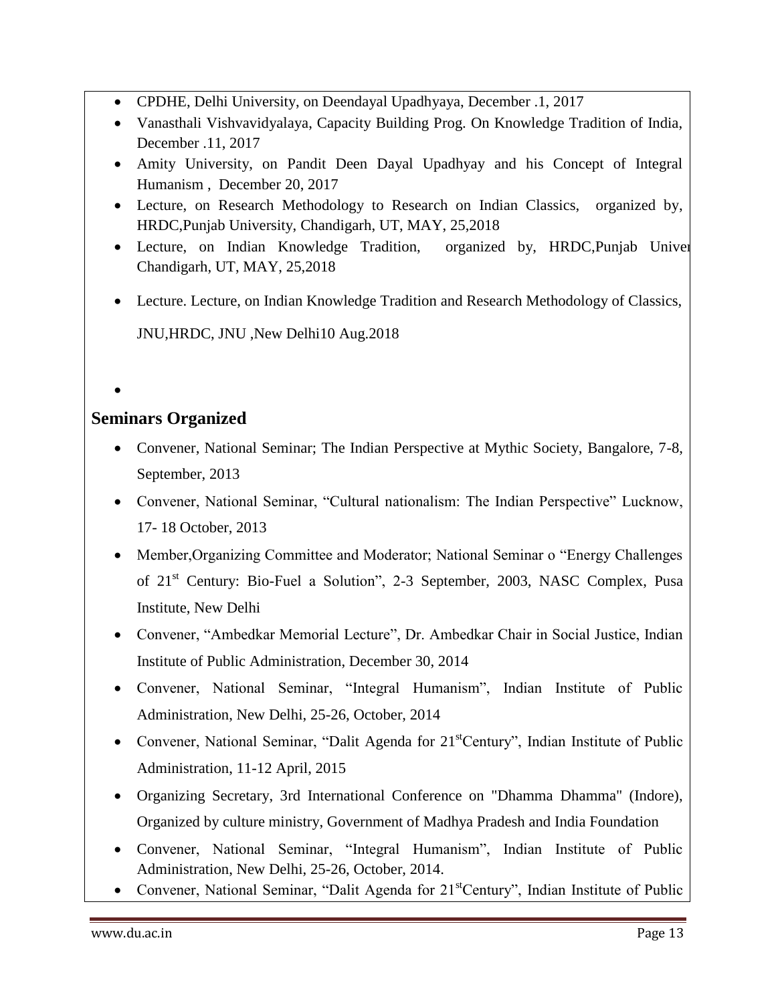- CPDHE, Delhi University, on Deendayal Upadhyaya, December .1, 2017
- Vanasthali Vishvavidyalaya, Capacity Building Prog. On Knowledge Tradition of India, December .11, 2017
- Amity University, on Pandit Deen Dayal Upadhyay and his Concept of Integral Humanism , December 20, 2017
- Lecture, on Research Methodology to Research on Indian Classics, organized by, HRDC,Punjab University, Chandigarh, UT, MAY, 25,2018
- Lecture, on Indian Knowledge Tradition, organized by, HRDC, Punjab University, Chandigarh, UT, MAY, 25,2018
- Lecture. Lecture, on Indian Knowledge Tradition and Research Methodology of Classics, JNU,HRDC, JNU ,New Delhi10 Aug.2018
- $\bullet$

## **Seminars Organized**

- Convener, National Seminar; The Indian Perspective at Mythic Society, Bangalore, 7-8, September, 2013
- Convener, National Seminar, "Cultural nationalism: The Indian Perspective" Lucknow, 17- 18 October, 2013
- Member, Organizing Committee and Moderator; National Seminar o "Energy Challenges" of 21<sup>st</sup> Century: Bio-Fuel a Solution", 2-3 September, 2003, NASC Complex, Pusa Institute, New Delhi
- Convener, "Ambedkar Memorial Lecture", Dr. Ambedkar Chair in Social Justice, Indian Institute of Public Administration, December 30, 2014
- Convener, National Seminar, "Integral Humanism", Indian Institute of Public Administration, New Delhi, 25-26, October, 2014
- Convener, National Seminar, "Dalit Agenda for  $21<sup>st</sup>Century$ ", Indian Institute of Public Administration, 11-12 April, 2015
- Organizing Secretary, 3rd International Conference on "Dhamma Dhamma" (Indore), Organized by culture ministry, Government of Madhya Pradesh and India Foundation
- Convener, National Seminar, "Integral Humanism", Indian Institute of Public Administration, New Delhi, 25-26, October, 2014.
- Convener, National Seminar, "Dalit Agenda for 21<sup>st</sup>Century", Indian Institute of Public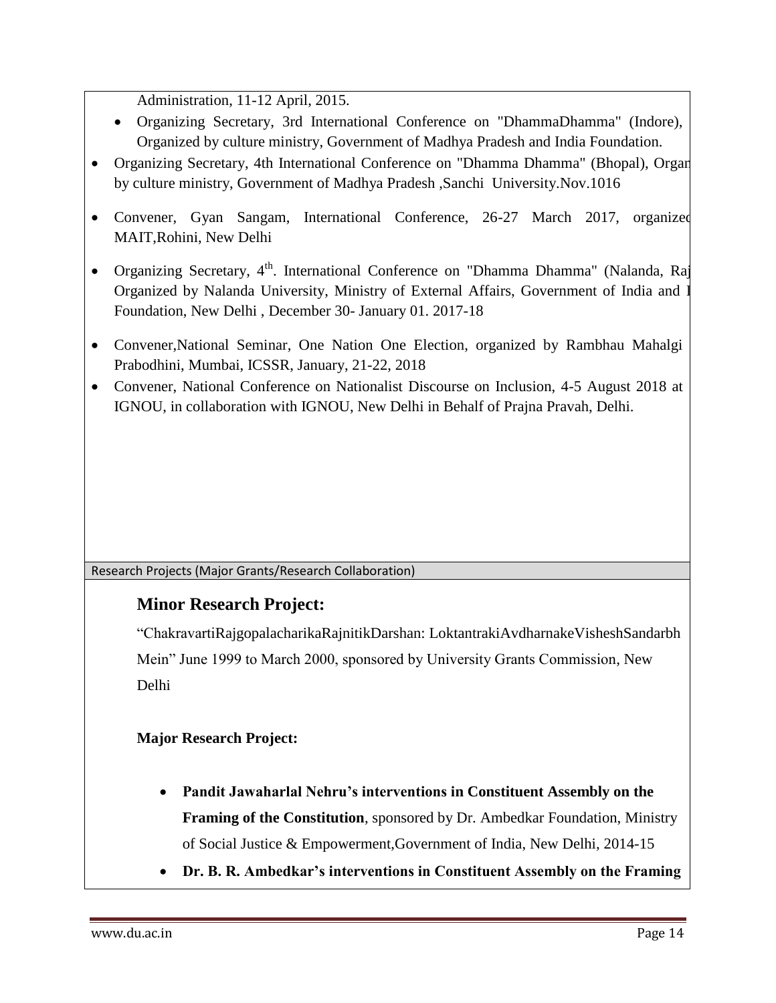Administration, 11-12 April, 2015.

- Organizing Secretary, 3rd International Conference on "DhammaDhamma" (Indore), Organized by culture ministry, Government of Madhya Pradesh and India Foundation.
- Organizing Secretary, 4th International Conference on "Dhamma Dhamma" (Bhopal), Organ by culture ministry, Government of Madhya Pradesh ,Sanchi University.Nov.1016
- Convener, Gyan Sangam, International Conference, 26-27 March 2017, organized MAIT,Rohini, New Delhi
- Organizing Secretary,  $4^{\text{th}}$ . International Conference on "Dhamma Dhamma" (Nalanda, Raj Organized by Nalanda University, Ministry of External Affairs, Government of India and I Foundation, New Delhi , December 30- January 01. 2017-18
- Convener,National Seminar, One Nation One Election, organized by Rambhau Mahalgi Prabodhini, Mumbai, ICSSR, January, 21-22, 2018
- Convener, National Conference on Nationalist Discourse on Inclusion, 4-5 August 2018 at IGNOU, in collaboration with IGNOU, New Delhi in Behalf of Prajna Pravah, Delhi.

Research Projects (Major Grants/Research Collaboration)

## **Minor Research Project:**

―ChakravartiRajgopalacharikaRajnitikDarshan: LoktantrakiAvdharnakeVisheshSandarbh Mein" June 1999 to March 2000, sponsored by University Grants Commission, New Delhi

**Major Research Project:**

- **Pandit Jawaharlal Nehru's interventions in Constituent Assembly on the Framing of the Constitution**, sponsored by Dr. Ambedkar Foundation, Ministry of Social Justice & Empowerment,Government of India, New Delhi, 2014-15
- **Dr. B. R. Ambedkar's interventions in Constituent Assembly on the Framing**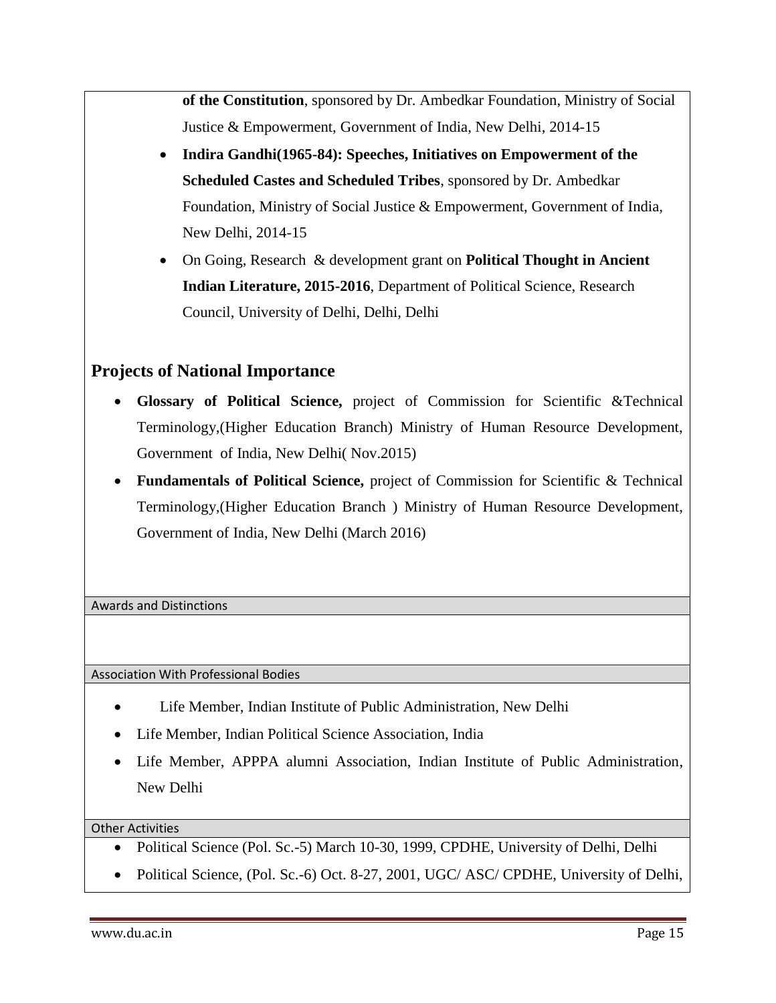**of the Constitution**, sponsored by Dr. Ambedkar Foundation, Ministry of Social Justice & Empowerment, Government of India, New Delhi, 2014-15

- **Indira Gandhi(1965-84): Speeches, Initiatives on Empowerment of the Scheduled Castes and Scheduled Tribes**, sponsored by Dr. Ambedkar Foundation, Ministry of Social Justice & Empowerment, Government of India, New Delhi, 2014-15
- On Going, Research & development grant on **Political Thought in Ancient Indian Literature, 2015-2016**, Department of Political Science, Research Council, University of Delhi, Delhi, Delhi

## **Projects of National Importance**

- **Glossary of Political Science,** project of Commission for Scientific &Technical Terminology,(Higher Education Branch) Ministry of Human Resource Development, Government of India, New Delhi( Nov.2015)
- **Fundamentals of Political Science,** project of Commission for Scientific & Technical Terminology,(Higher Education Branch ) Ministry of Human Resource Development, Government of India, New Delhi (March 2016)

Awards and Distinctions

Association With Professional Bodies

- Life Member, Indian Institute of Public Administration, New Delhi
- Life Member, Indian Political Science Association, India
- Life Member, APPPA alumni Association, Indian Institute of Public Administration, New Delhi

Other Activities

- Political Science (Pol. Sc.-5) March 10-30, 1999, CPDHE, University of Delhi, Delhi
- Political Science, (Pol. Sc.-6) Oct. 8-27, 2001, UGC/ ASC/ CPDHE, University of Delhi,